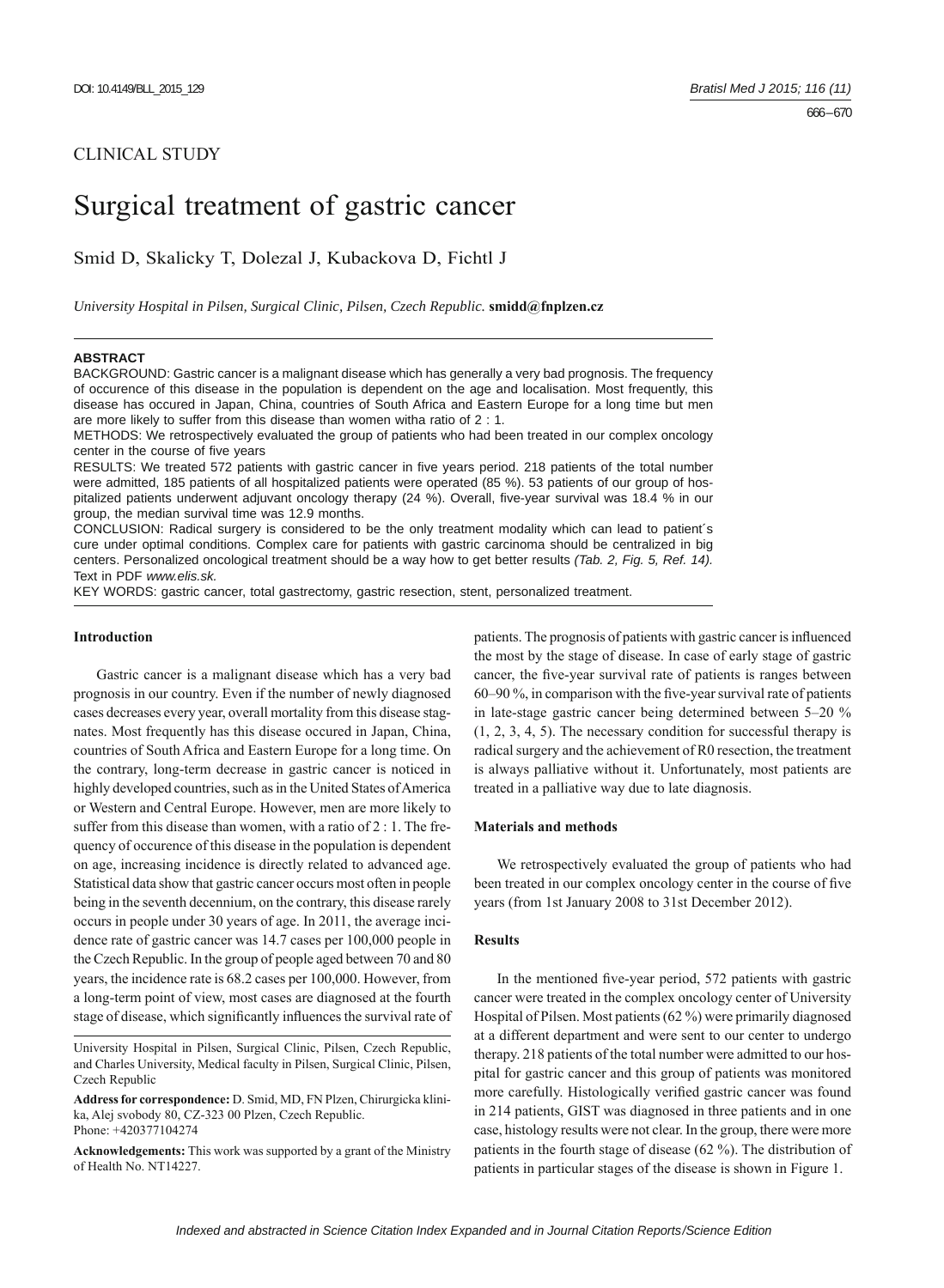# CLINICAL STUDY

# Surgical treatment of gastric cancer

Smid D, Skalicky T, Dolezal J, Kubackova D, Fichtl J

*University Hospital in Pilsen, Surgical Clinic, Pilsen, Czech Republic.* **smidd@fnplzen.cz**

### **ABSTRACT**

BACKGROUND: Gastric cancer is a malignant disease which has generally a very bad prognosis. The frequency of occurence of this disease in the population is dependent on the age and localisation. Most frequently, this disease has occured in Japan, China, countries of South Africa and Eastern Europe for a long time but men are more likely to suffer from this disease than women witha ratio of 2 : 1.

METHODS: We retrospectively evaluated the group of patients who had been treated in our complex oncology center in the course of five years

RESULTS: We treated 572 patients with gastric cancer in five years period. 218 patients of the total number were admitted, 185 patients of all hospitalized patients were operated (85 %). 53 patients of our group of hospitalized patients underwent adjuvant oncology therapy (24 %). Overall, five-year survival was 18.4 % in our group, the median survival time was 12.9 months.

CONCLUSION: Radical surgery is considered to be the only treatment modality which can lead to patient´s cure under optimal conditions. Complex care for patients with gastric carcinoma should be centralized in big centers. Personalized oncological treatment should be a way how to get better results *(Tab. 2, Fig. 5, Ref. 14).* Text in PDF *www.elis.sk.*

KEY WORDS: gastric cancer, total gastrectomy, gastric resection, stent, personalized treatment.

#### **Introduction**

Gastric cancer is a malignant disease which has a very bad prognosis in our country. Even if the number of newly diagnosed cases decreases every year, overall mortality from this disease stagnates. Most frequently has this disease occured in Japan, China, countries of South Africa and Eastern Europe for a long time. On the contrary, long-term decrease in gastric cancer is noticed in highly developed countries, such as in the United States of America or Western and Central Europe. However, men are more likely to suffer from this disease than women, with a ratio of 2 : 1. The frequency of occurence of this disease in the population is dependent on age, increasing incidence is directly related to advanced age. Statistical data show that gastric cancer occurs most often in people being in the seventh decennium, on the contrary, this disease rarely occurs in people under 30 years of age. In 2011, the average incidence rate of gastric cancer was 14.7 cases per 100,000 people in the Czech Republic. In the group of people aged between 70 and 80 years, the incidence rate is 68.2 cases per 100,000. However, from a long-term point of view, most cases are diagnosed at the fourth stage of disease, which significantly influences the survival rate of

University Hospital in Pilsen, Surgical Clinic, Pilsen, Czech Republic, and Charles University, Medical faculty in Pilsen, Surgical Clinic, Pilsen, Czech Republic

**Address for correspondence:** D. Smid, MD, FN Plzen, Chirurgicka klinika, Alej svobody 80, CZ-323 00 Plzen, Czech Republic. Phone: +420377104274

**Acknowledgements:** This work was supported by a grant of the Ministry of Health No. NT14227.

patients. The prognosis of patients with gastric cancer is influenced the most by the stage of disease. In case of early stage of gastric cancer, the five-year survival rate of patients is ranges between 60–90  $\%$ , in comparison with the five-year survival rate of patients in late-stage gastric cancer being determined between 5–20 % (1, 2, 3, 4, 5). The necessary condition for successful therapy is radical surgery and the achievement of R0 resection, the treatment is always palliative without it. Unfortunately, most patients are treated in a palliative way due to late diagnosis.

# **Materials and methods**

We retrospectively evaluated the group of patients who had been treated in our complex oncology center in the course of five years (from 1st January 2008 to 31st December 2012).

# **Results**

In the mentioned five-year period, 572 patients with gastric cancer were treated in the complex oncology center of University Hospital of Pilsen. Most patients (62 %) were primarily diagnosed at a different department and were sent to our center to undergo therapy. 218 patients of the total number were admitted to our hospital for gastric cancer and this group of patients was monitored more carefully. Histologically verified gastric cancer was found in 214 patients, GIST was diagnosed in three patients and in one case, histology results were not clear. In the group, there were more patients in the fourth stage of disease (62 %). The distribution of patients in particular stages of the disease is shown in Figure 1.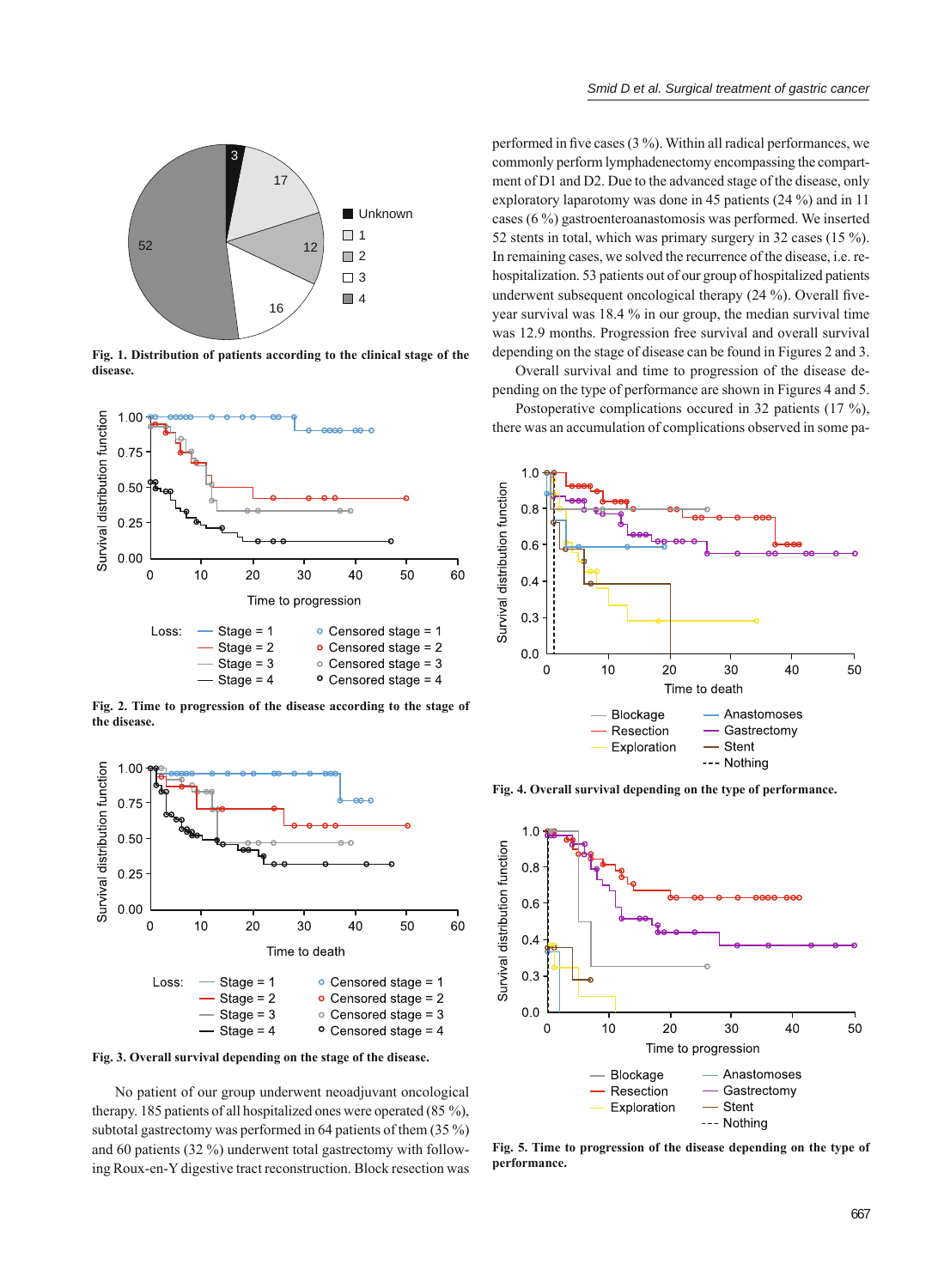

**Fig. 1. Distribution of patients according to the clinical stage of the disease.**



**Fig. 2. Time to progression of the disease according to the stage of the disease.**



**Fig. 3. Overall survival depending on the stage of the disease.**

No patient of our group underwent neoadjuvant oncological therapy. 185 patients of all hospitalized ones were operated (85 %), subtotal gastrectomy was performed in 64 patients of them (35 %) and 60 patients (32 %) underwent total gastrectomy with following Roux-en-Y digestive tract reconstruction. Block resection was

performed in five cases  $(3\%)$ . Within all radical performances, we commonly perform lymphadenectomy encompassing the compartment of D1 and D2. Due to the advanced stage of the disease, only exploratory laparotomy was done in 45 patients (24 %) and in 11 cases (6 %) gastroenteroanastomosis was performed. We inserted 52 stents in total, which was primary surgery in 32 cases (15 %). In remaining cases, we solved the recurrence of the disease, i.e. rehospitalization. 53 patients out of our group of hospitalized patients underwent subsequent oncological therapy  $(24 \%)$ . Overall fiveyear survival was 18.4 % in our group, the median survival time was 12.9 months. Progression free survival and overall survival depending on the stage of disease can be found in Figures 2 and 3.

Overall survival and time to progression of the disease depending on the type of performance are shown in Figures 4 and 5.

Postoperative complications occured in 32 patients (17 %), there was an accumulation of complications observed in some pa-



**Fig. 4. Overall survival depending on the type of performance.**



**Fig. 5. Time to progression of the disease depending on the type of performance.**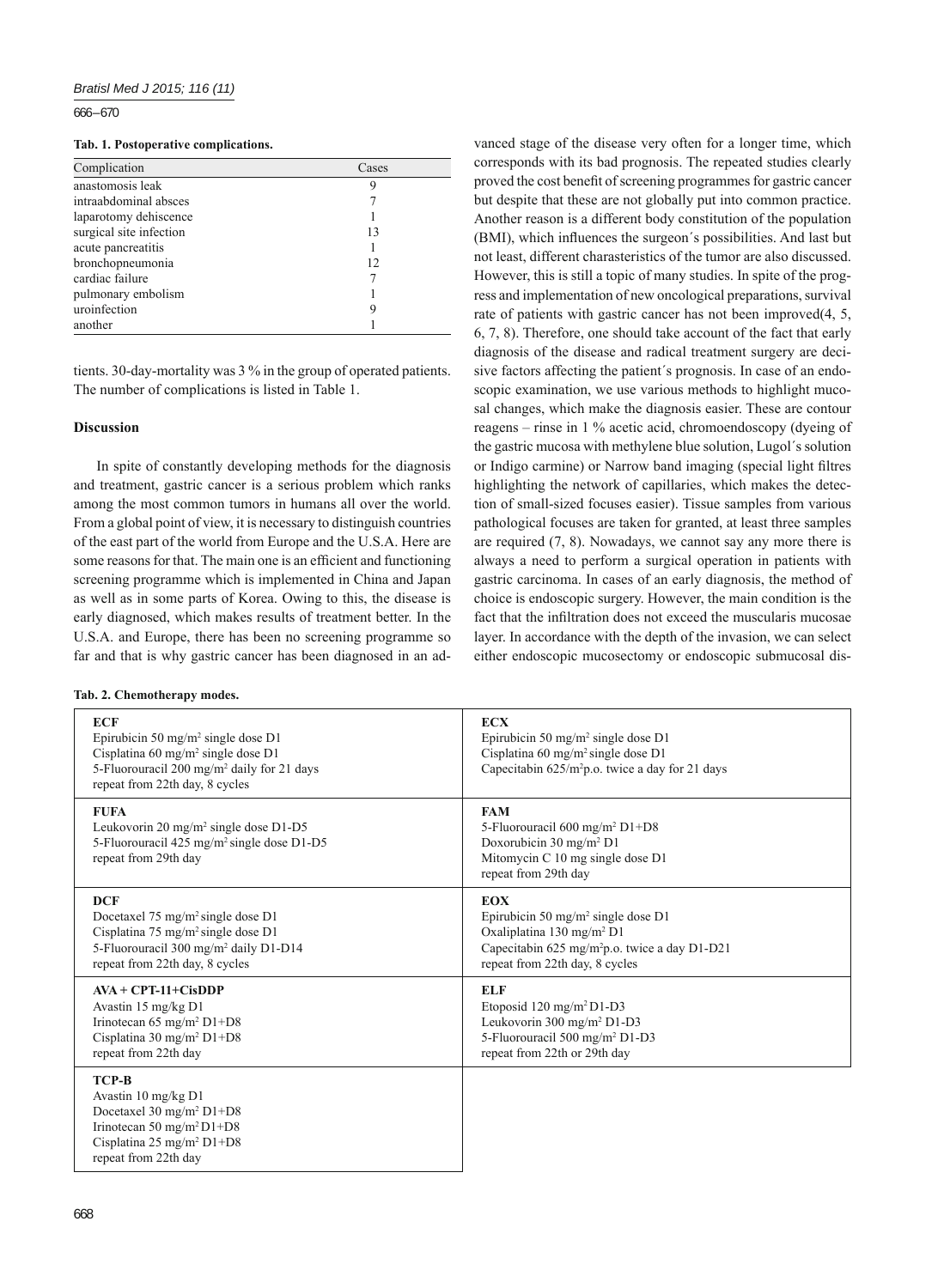666 – 670

#### **Tab. 1. Postoperative complications.**

| Complication            | Cases |
|-------------------------|-------|
| anastomosis leak        | 9     |
| intraabdominal absces   |       |
| laparotomy dehiscence   |       |
| surgical site infection | 13    |
| acute pancreatitis      |       |
| bronchopneumonia        | 12    |
| cardiac failure         |       |
| pulmonary embolism      |       |
| uroinfection            | 9     |
| another                 |       |

tients. 30-day-mortality was 3 % in the group of operated patients. The number of complications is listed in Table 1.

# **Discussion**

In spite of constantly developing methods for the diagnosis and treatment, gastric cancer is a serious problem which ranks among the most common tumors in humans all over the world. From a global point of view, it is necessary to distinguish countries of the east part of the world from Europe and the U.S.A. Here are some reasons for that. The main one is an efficient and functioning screening programme which is implemented in China and Japan as well as in some parts of Korea. Owing to this, the disease is early diagnosed, which makes results of treatment better. In the U.S.A. and Europe, there has been no screening programme so far and that is why gastric cancer has been diagnosed in an ad-

#### **Tab. 2. Chemotherapy modes.**

vanced stage of the disease very often for a longer time, which corresponds with its bad prognosis. The repeated studies clearly proved the cost benefit of screening programmes for gastric cancer but despite that these are not globally put into common practice. Another reason is a different body constitution of the population (BMI), which influences the surgeon's possibilities. And last but not least, different charasteristics of the tumor are also discussed. However, this is still a topic of many studies. In spite of the progress and implementation of new oncological preparations, survival rate of patients with gastric cancer has not been improved(4, 5, 6, 7, 8). Therefore, one should take account of the fact that early diagnosis of the disease and radical treatment surgery are decisive factors affecting the patient´s prognosis. In case of an endoscopic examination, we use various methods to highlight mucosal changes, which make the diagnosis easier. These are contour reagens – rinse in 1 % acetic acid, chromoendoscopy (dyeing of the gastric mucosa with methylene blue solution, Lugol´s solution or Indigo carmine) or Narrow band imaging (special light filtres highlighting the network of capillaries, which makes the detection of small-sized focuses easier). Tissue samples from various pathological focuses are taken for granted, at least three samples are required (7, 8). Nowadays, we cannot say any more there is always a need to perform a surgical operation in patients with gastric carcinoma. In cases of an early diagnosis, the method of choice is endoscopic surgery. However, the main condition is the fact that the infiltration does not exceed the muscularis mucosae layer. In accordance with the depth of the invasion, we can select either endoscopic mucosectomy or endoscopic submucosal dis-

| <b>ECF</b><br>Epirubicin 50 mg/m <sup>2</sup> single dose D1<br>Cisplatina 60 mg/m <sup>2</sup> single dose D1<br>5-Fluorouracil 200 mg/m <sup>2</sup> daily for 21 days<br>repeat from 22th day, 8 cycles | <b>ECX</b><br>Epirubicin 50 mg/m <sup>2</sup> single dose D1<br>Cisplatina 60 mg/m <sup>2</sup> single dose D1<br>Capecitabin $625/m^2p.o.$ twice a day for 21 days                                  |
|------------------------------------------------------------------------------------------------------------------------------------------------------------------------------------------------------------|------------------------------------------------------------------------------------------------------------------------------------------------------------------------------------------------------|
| <b>FUFA</b><br>Leukovorin 20 mg/m <sup>2</sup> single dose D1-D5<br>5-Fluorouracil 425 mg/m <sup>2</sup> single dose D1-D5<br>repeat from 29th day                                                         | <b>FAM</b><br>5-Fluorouracil 600 mg/m <sup>2</sup> D1+D8<br>Doxorubicin 30 mg/m <sup>2</sup> D1<br>Mitomycin C 10 mg single dose D1<br>repeat from 29th day                                          |
| <b>DCF</b><br>Docetaxel $75 \text{ mg/m}^2$ single dose D1<br>Cisplatina 75 mg/m <sup>2</sup> single dose D1<br>5-Fluorouracil 300 mg/m <sup>2</sup> daily D1-D14<br>repeat from 22th day, 8 cycles        | <b>EOX</b><br>Epirubicin 50 mg/m <sup>2</sup> single dose D1<br>Oxaliplatina 130 mg/m <sup>2</sup> D1<br>Capecitabin 625 mg/m <sup>2</sup> p.o. twice a day D1-D21<br>repeat from 22th day, 8 cycles |
| $AVA + CPT-11+C$ isDDP<br>Avastin 15 mg/kg D1<br>Irinotecan 65 mg/m <sup>2</sup> D1+D8<br>Cisplatina 30 mg/m <sup>2</sup> D1+D8<br>repeat from 22th day                                                    | <b>ELF</b><br>Etoposid 120 mg/m <sup>2</sup> D1-D3<br>Leukovorin 300 mg/m <sup>2</sup> D1-D3<br>5-Fluorouracil 500 mg/m <sup>2</sup> D1-D3<br>repeat from 22th or 29th day                           |
| <b>TCP-B</b><br>Avastin 10 mg/kg D1<br>Docetaxel 30 mg/m <sup>2</sup> D1+D8<br>Irinotecan 50 mg/m <sup>2</sup> D1+D8<br>Cisplatina 25 mg/m <sup>2</sup> D1+D8<br>repeat from 22th day                      |                                                                                                                                                                                                      |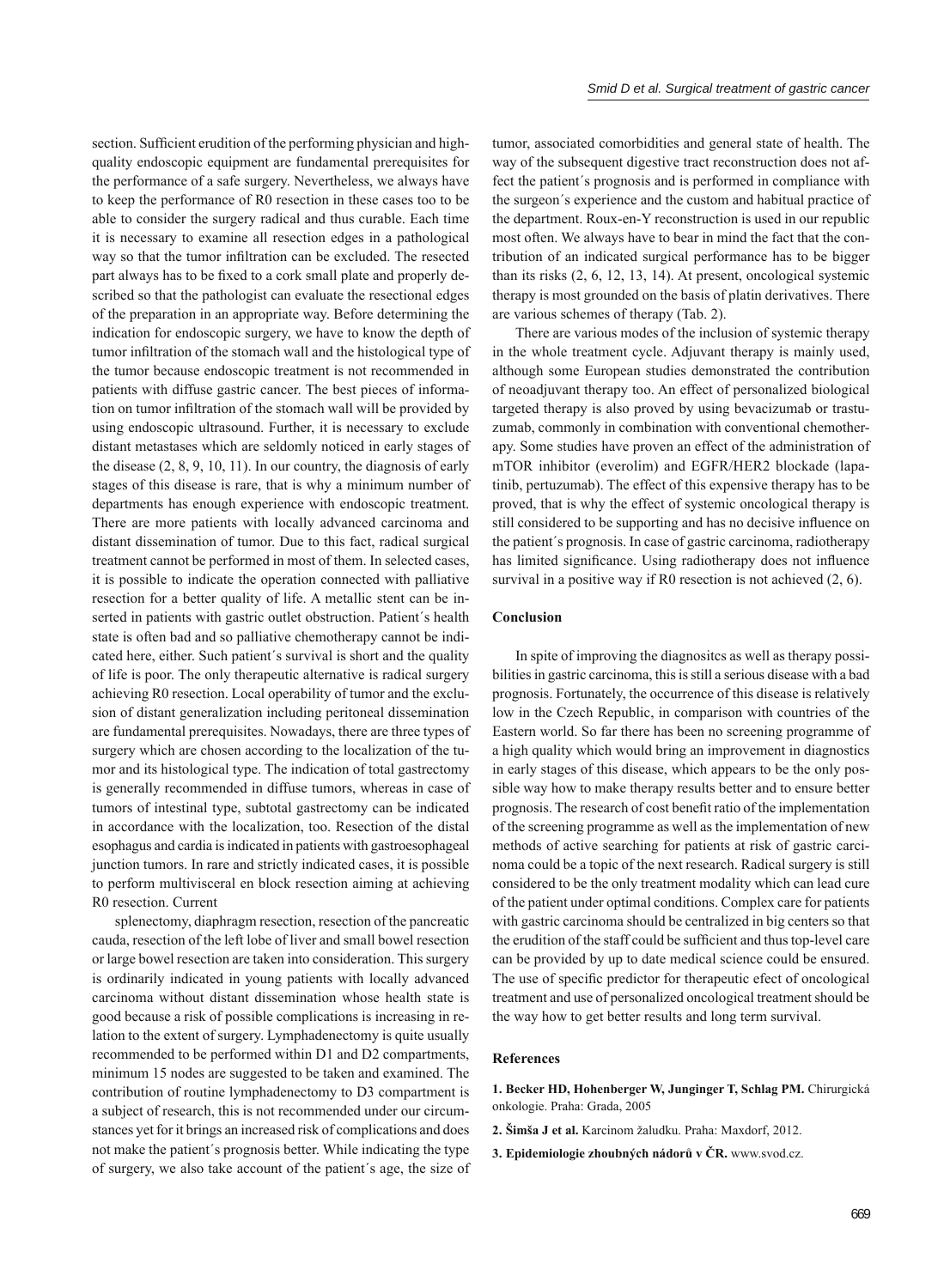section. Sufficient erudition of the performing physician and highquality endoscopic equipment are fundamental prerequisites for the performance of a safe surgery. Nevertheless, we always have to keep the performance of R0 resection in these cases too to be able to consider the surgery radical and thus curable. Each time it is necessary to examine all resection edges in a pathological way so that the tumor infiltration can be excluded. The resected part always has to be fixed to a cork small plate and properly described so that the pathologist can evaluate the resectional edges of the preparation in an appropriate way. Before determining the indication for endoscopic surgery, we have to know the depth of tumor infiltration of the stomach wall and the histological type of the tumor because endoscopic treatment is not recommended in patients with diffuse gastric cancer. The best pieces of information on tumor infiltration of the stomach wall will be provided by using endoscopic ultrasound. Further, it is necessary to exclude distant metastases which are seldomly noticed in early stages of the disease (2, 8, 9, 10, 11). In our country, the diagnosis of early stages of this disease is rare, that is why a minimum number of departments has enough experience with endoscopic treatment. There are more patients with locally advanced carcinoma and distant dissemination of tumor. Due to this fact, radical surgical treatment cannot be performed in most of them. In selected cases, it is possible to indicate the operation connected with palliative resection for a better quality of life. A metallic stent can be inserted in patients with gastric outlet obstruction. Patient´s health state is often bad and so palliative chemotherapy cannot be indicated here, either. Such patient´s survival is short and the quality of life is poor. The only therapeutic alternative is radical surgery achieving R0 resection. Local operability of tumor and the exclusion of distant generalization including peritoneal dissemination are fundamental prerequisites. Nowadays, there are three types of surgery which are chosen according to the localization of the tumor and its histological type. The indication of total gastrectomy is generally recommended in diffuse tumors, whereas in case of tumors of intestinal type, subtotal gastrectomy can be indicated in accordance with the localization, too. Resection of the distal esophagus and cardia is indicated in patients with gastroesophageal junction tumors. In rare and strictly indicated cases, it is possible to perform multivisceral en block resection aiming at achieving

splenectomy, diaphragm resection, resection of the pancreatic cauda, resection of the left lobe of liver and small bowel resection or large bowel resection are taken into consideration. This surgery is ordinarily indicated in young patients with locally advanced carcinoma without distant dissemination whose health state is good because a risk of possible complications is increasing in relation to the extent of surgery. Lymphadenectomy is quite usually recommended to be performed within D1 and D2 compartments, minimum 15 nodes are suggested to be taken and examined. The contribution of routine lymphadenectomy to D3 compartment is a subject of research, this is not recommended under our circumstances yet for it brings an increased risk of complications and does not make the patient´s prognosis better. While indicating the type of surgery, we also take account of the patient´s age, the size of

R0 resection. Current

tumor, associated comorbidities and general state of health. The way of the subsequent digestive tract reconstruction does not affect the patient´s prognosis and is performed in compliance with the surgeon´s experience and the custom and habitual practice of the department. Roux-en-Y reconstruction is used in our republic most often. We always have to bear in mind the fact that the contribution of an indicated surgical performance has to be bigger than its risks (2, 6, 12, 13, 14). At present, oncological systemic therapy is most grounded on the basis of platin derivatives. There are various schemes of therapy (Tab. 2).

There are various modes of the inclusion of systemic therapy in the whole treatment cycle. Adjuvant therapy is mainly used, although some European studies demonstrated the contribution of neoadjuvant therapy too. An effect of personalized biological targeted therapy is also proved by using bevacizumab or trastuzumab, commonly in combination with conventional chemotherapy. Some studies have proven an effect of the administration of mTOR inhibitor (everolim) and EGFR/HER2 blockade (lapatinib, pertuzumab). The effect of this expensive therapy has to be proved, that is why the effect of systemic oncological therapy is still considered to be supporting and has no decisive influence on the patient´s prognosis. In case of gastric carcinoma, radiotherapy has limited significance. Using radiotherapy does not influence survival in a positive way if R0 resection is not achieved (2, 6).

#### **Conclusion**

In spite of improving the diagnositcs as well as therapy possibilities in gastric carcinoma, this is still a serious disease with a bad prognosis. Fortunately, the occurrence of this disease is relatively low in the Czech Republic, in comparison with countries of the Eastern world. So far there has been no screening programme of a high quality which would bring an improvement in diagnostics in early stages of this disease, which appears to be the only possible way how to make therapy results better and to ensure better prognosis. The research of cost benefit ratio of the implementation of the screening programme as well as the implementation of new methods of active searching for patients at risk of gastric carcinoma could be a topic of the next research. Radical surgery is still considered to be the only treatment modality which can lead cure of the patient under optimal conditions. Complex care for patients with gastric carcinoma should be centralized in big centers so that the erudition of the staff could be sufficient and thus top-level care can be provided by up to date medical science could be ensured. The use of specific predictor for therapeutic efect of oncological treatment and use of personalized oncological treatment should be the way how to get better results and long term survival.

#### **References**

**1. Becker HD, Hohenberger W, Junginger T, Schlag PM.** Chirurgická onkologie. Praha: Grada, 2005

- **2. Šimša J et al.** Karcinom žaludku. Praha: Maxdorf, 2012.
- **3. Epidemiologie zhoubných nádorů v ČR.** www.svod.cz.